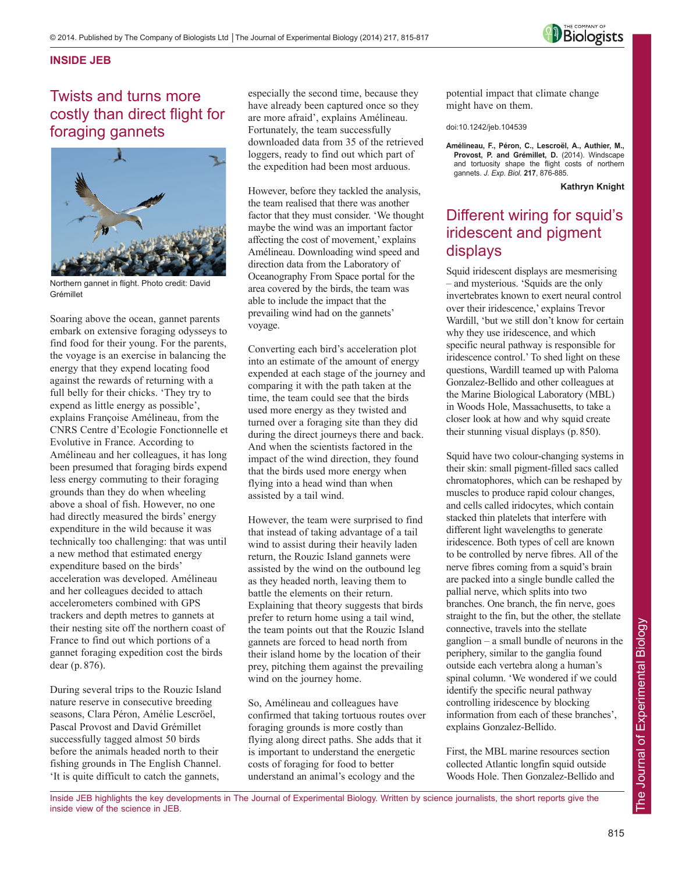

#### **INSIDE JEB**

# Twists and turns more costly than direct flight for foraging gannets



Northern gannet in flight. Photo credit: David Grémillet

Soaring above the ocean, gannet parents embark on extensive foraging odysseys to find food for their young. For the parents, the voyage is an exercise in balancing the energy that they expend locating food against the rewards of returning with a full belly for their chicks. 'They try to expend as little energy as possible', explains Françoise Amélineau, from the CNRS Centre d'Ecologie Fonctionnelle et Evolutive in France. According to Amélineau and her colleagues, it has long been presumed that foraging birds expend less energy commuting to their foraging grounds than they do when wheeling above a shoal of fish. However, no one had directly measured the birds' energy expenditure in the wild because it was technically too challenging: that was until a new method that estimated energy expenditure based on the birds' acceleration was developed. Amélineau and her colleagues decided to attach accelerometers combined with GPS trackers and depth metres to gannets at their nesting site off the northern coast of France to find out which portions of a gannet foraging expedition cost the birds dear (p. 876).

During several trips to the Rouzic Island nature reserve in consecutive breeding seasons, Clara Péron, Amélie Lescröel, Pascal Provost and David Grémillet successfully tagged almost 50 birds before the animals headed north to their fishing grounds in The English Channel. 'It is quite difficult to catch the gannets,

inside view of the science in JEB.

especially the second time, because they have already been captured once so they are more afraid', explains Amélineau. Fortunately, the team successfully downloaded data from 35 of the retrieved loggers, ready to find out which part of the expedition had been most arduous.

However, before they tackled the analysis, the team realised that there was another factor that they must consider. 'We thought maybe the wind was an important factor affecting the cost of movement,' explains Amélineau. Downloading wind speed and direction data from the Laboratory of Oceanography From Space portal for the area covered by the birds, the team was able to include the impact that the prevailing wind had on the gannets' voyage.

Converting each bird's acceleration plot into an estimate of the amount of energy expended at each stage of the journey and comparing it with the path taken at the time, the team could see that the birds used more energy as they twisted and turned over a foraging site than they did during the direct journeys there and back. And when the scientists factored in the impact of the wind direction, they found that the birds used more energy when flying into a head wind than when assisted by a tail wind.

However, the team were surprised to find that instead of taking advantage of a tail wind to assist during their heavily laden return, the Rouzic Island gannets were assisted by the wind on the outbound leg as they headed north, leaving them to battle the elements on their return. Explaining that theory suggests that birds prefer to return home using a tail wind, the team points out that the Rouzic Island gannets are forced to head north from their island home by the location of their prey, pitching them against the prevailing wind on the journey home.

So, Amélineau and colleagues have confirmed that taking tortuous routes over foraging grounds is more costly than flying along direct paths. She adds that it is important to understand the energetic costs of foraging for food to better understand an animal's ecology and the

potential impact that climate change might have on them.

doi:10.1242/jeb.104539

**Amélineau, F., Péron, C., Lescroël, A., Authier, M., Provost, P. and Grémillet, D.** (2014). Windscape and tortuosity shape the flight costs of northern gannets. *J. Exp. Biol.* **217**, 876-885.

**Kathryn Knight**

# Different wiring for squid's iridescent and pigment displays

Squid iridescent displays are mesmerising – and mysterious. 'Squids are the only invertebrates known to exert neural control over their iridescence,' explains Trevor Wardill, 'but we still don't know for certain why they use iridescence, and which specific neural pathway is responsible for iridescence control.' To shed light on these questions, Wardill teamed up with Paloma Gonzalez-Bellido and other colleagues at the Marine Biological Laboratory (MBL) in Woods Hole, Massachusetts, to take a closer look at how and why squid create their stunning visual displays (p.850).

Squid have two colour-changing systems in their skin: small pigment-filled sacs called chromatophores, which can be reshaped by muscles to produce rapid colour changes, and cells called iridocytes, which contain stacked thin platelets that interfere with different light wavelengths to generate iridescence. Both types of cell are known to be controlled by nerve fibres. All of the nerve fibres coming from a squid's brain are packed into a single bundle called the pallial nerve, which splits into two branches. One branch, the fin nerve, goes straight to the fin, but the other, the stellate connective, travels into the stellate ganglion – a small bundle of neurons in the periphery, similar to the ganglia found outside each vertebra along a human's spinal column. 'We wondered if we could identify the specific neural pathway controlling iridescence by blocking information from each of these branches', explains Gonzalez-Bellido.

First, the MBL marine resources section collected Atlantic longfin squid outside Woods Hole. Then Gonzalez-Bellido and

815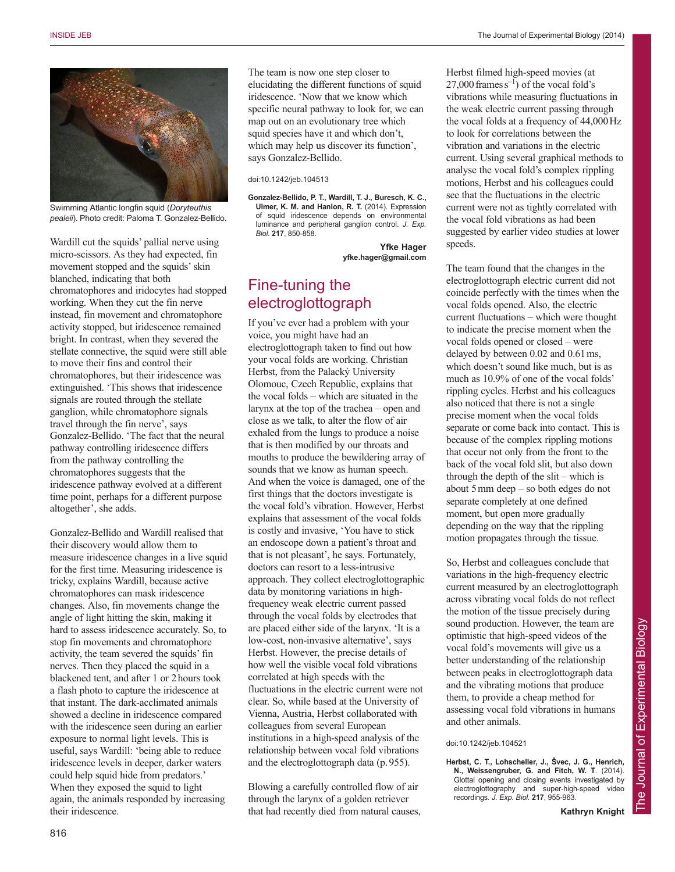



Swimming Atlantic longfin squid (*Doryteuthis pealeii*). Photo credit: Paloma T. Gonzalez-Bellido.

Wardill cut the squids' pallial nerve using micro-scissors. As they had expected, fin movement stopped and the squids' skin blanched, indicating that both chromatophores and iridocytes had stopped working. When they cut the fin nerve instead, fin movement and chromatophore activity stopped, but iridescence remained bright. In contrast, when they severed the stellate connective, the squid were still able to move their fins and control their chromatophores, but their iridescence was extinguished. 'This shows that iridescence signals are routed through the stellate ganglion, while chromatophore signals travel through the fin nerve', says Gonzalez-Bellido. 'The fact that the neural pathway controlling iridescence differs from the pathway controlling the chromatophores suggests that the iridescence pathway evolved at a different time point, perhaps for a different purpose altogether', she adds.

Gonzalez-Bellido and Wardill realised that their discovery would allow them to measure iridescence changes in a live squid for the first time. Measuring iridescence is tricky, explains Wardill, because active chromatophores can mask iridescence changes. Also, fin movements change the angle of light hitting the skin, making it hard to assess iridescence accurately. So, to stop fin movements and chromatophore activity, the team severed the squids' fin nerves. Then they placed the squid in a blackened tent, and after 1 or 2hours took a flash photo to capture the iridescence at that instant. The dark-acclimated animals showed a decline in iridescence compared with the iridescence seen during an earlier exposure to normal light levels. This is useful, says Wardill: 'being able to reduce iridescence levels in deeper, darker waters could help squid hide from predators.' When they exposed the squid to light again, the animals responded by increasing their iridescence.

The team is now one step closer to elucidating the different functions of squid iridescence. 'Now that we know which specific neural pathway to look for, we can map out on an evolutionary tree which squid species have it and which don't, which may help us discover its function', says Gonzalez-Bellido.

doi:10.1242/jeb.104513

**Gonzalez-Bellido, P. T., Wardill, T. J., Buresch, K. C., Ulmer, K. M. and Hanlon, R. T.** (2014). Expression of squid iridescence depends on environmental luminance and peripheral ganglion control. *J. Exp. Biol.* **217**, 850-858.

> **Yfke Hager yfke.hager@gmail.com**

### Fine-tuning the electroglottograph

If you've ever had a problem with your voice, you might have had an electroglottograph taken to find out how your vocal folds are working. Christian Herbst, from the Palacký University Olomouc, Czech Republic, explains that the vocal folds – which are situated in the larynx at the top of the trachea – open and close as we talk, to alter the flow of air exhaled from the lungs to produce a noise that is then modified by our throats and mouths to produce the bewildering array of sounds that we know as human speech. And when the voice is damaged, one of the first things that the doctors investigate is the vocal fold's vibration. However, Herbst explains that assessment of the vocal folds is costly and invasive, 'You have to stick an endoscope down a patient's throat and that is not pleasant', he says. Fortunately, doctors can resort to a less-intrusive approach. They collect electroglottographic data by monitoring variations in highfrequency weak electric current passed through the vocal folds by electrodes that are placed either side of the larynx. 'It is a low-cost, non-invasive alternative', says Herbst. However, the precise details of how well the visible vocal fold vibrations correlated at high speeds with the fluctuations in the electric current were not clear. So, while based at the University of Vienna, Austria, Herbst collaborated with colleagues from several European institutions in a high-speed analysis of the relationship between vocal fold vibrations and the electroglottograph data (p.955).

Blowing a carefully controlled flow of air through the larynx of a golden retriever that had recently died from natural causes,

Herbst filmed high-speed movies (at  $27,000$  frames  $s^{-1}$ ) of the vocal fold's vibrations while measuring fluctuations in the weak electric current passing through the vocal folds at a frequency of 44,000Hz to look for correlations between the vibration and variations in the electric current. Using several graphical methods to analyse the vocal fold's complex rippling motions, Herbst and his colleagues could see that the fluctuations in the electric current were not as tightly correlated with the vocal fold vibrations as had been suggested by earlier video studies at lower speeds.

The team found that the changes in the electroglottograph electric current did not coincide perfectly with the times when the vocal folds opened. Also, the electric current fluctuations – which were thought to indicate the precise moment when the vocal folds opened or closed – were delayed by between 0.02 and 0.61ms, which doesn't sound like much, but is as much as 10.9% of one of the vocal folds' rippling cycles. Herbst and his colleagues also noticed that there is not a single precise moment when the vocal folds separate or come back into contact. This is because of the complex rippling motions that occur not only from the front to the back of the vocal fold slit, but also down through the depth of the slit – which is about 5mm deep – so both edges do not separate completely at one defined moment, but open more gradually depending on the way that the rippling motion propagates through the tissue.

So, Herbst and colleagues conclude that variations in the high-frequency electric current measured by an electroglottograph across vibrating vocal folds do not reflect the motion of the tissue precisely during sound production. However, the team are optimistic that high-speed videos of the vocal fold's movements will give us a better understanding of the relationship between peaks in electroglottograph data and the vibrating motions that produce them, to provide a cheap method for assessing vocal fold vibrations in humans and other animals.

doi:10.1242/jeb.104521

**Herbst, C. T., Lohscheller, J., Švec, J. G., Henrich, N., Weissengruber, G. and Fitch, W. T**. (2014). Glottal opening and closing events investigated by electroglottography and super-high-speed video recordings. *J. Exp. Biol.* **217**, 955-963.

The Journal of Experimental Biology

he Journal of Experimental Biology

816